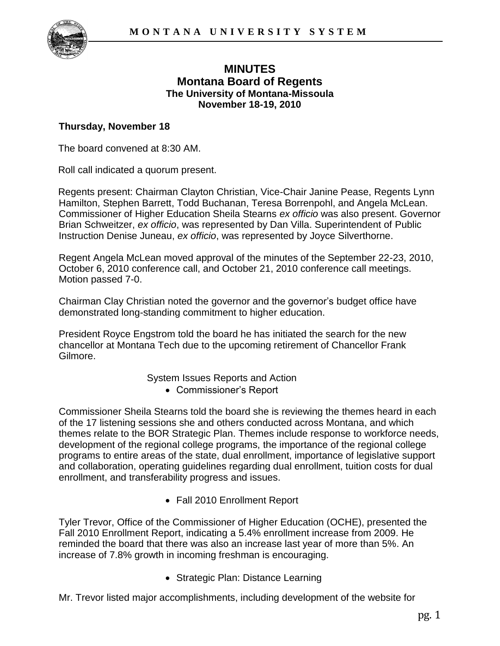

# **MINUTES Montana Board of Regents The University of Montana-Missoula November 18-19, 2010**

#### **Thursday, November 18**

The board convened at 8:30 AM.

Roll call indicated a quorum present.

Regents present: Chairman Clayton Christian, Vice-Chair Janine Pease, Regents Lynn Hamilton, Stephen Barrett, Todd Buchanan, Teresa Borrenpohl, and Angela McLean. Commissioner of Higher Education Sheila Stearns *ex officio* was also present. Governor Brian Schweitzer, *ex officio*, was represented by Dan Villa. Superintendent of Public Instruction Denise Juneau, *ex officio*, was represented by Joyce Silverthorne.

Regent Angela McLean moved approval of the minutes of the September 22-23, 2010, October 6, 2010 conference call, and October 21, 2010 conference call meetings. Motion passed 7-0.

Chairman Clay Christian noted the governor and the governor's budget office have demonstrated long-standing commitment to higher education.

President Royce Engstrom told the board he has initiated the search for the new chancellor at Montana Tech due to the upcoming retirement of Chancellor Frank Gilmore.

System Issues Reports and Action

Commissioner's Report

Commissioner Sheila Stearns told the board she is reviewing the themes heard in each of the 17 listening sessions she and others conducted across Montana, and which themes relate to the BOR Strategic Plan. Themes include response to workforce needs, development of the regional college programs, the importance of the regional college programs to entire areas of the state, dual enrollment, importance of legislative support and collaboration, operating guidelines regarding dual enrollment, tuition costs for dual enrollment, and transferability progress and issues.

Fall 2010 Enrollment Report

Tyler Trevor, Office of the Commissioner of Higher Education (OCHE), presented the Fall 2010 Enrollment Report, indicating a 5.4% enrollment increase from 2009. He reminded the board that there was also an increase last year of more than 5%. An increase of 7.8% growth in incoming freshman is encouraging.

• Strategic Plan: Distance Learning

Mr. Trevor listed major accomplishments, including development of the website for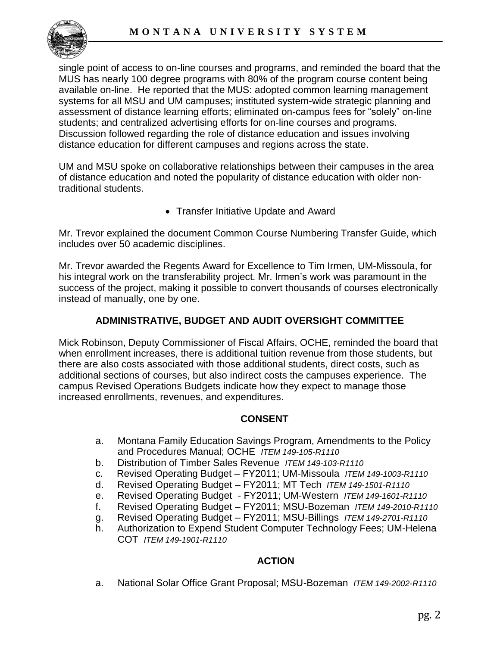

single point of access to on-line courses and programs, and reminded the board that the MUS has nearly 100 degree programs with 80% of the program course content being available on-line. He reported that the MUS: adopted common learning management systems for all MSU and UM campuses; instituted system-wide strategic planning and assessment of distance learning efforts; eliminated on-campus fees for "solely" on-line students; and centralized advertising efforts for on-line courses and programs. Discussion followed regarding the role of distance education and issues involving distance education for different campuses and regions across the state.

UM and MSU spoke on collaborative relationships between their campuses in the area of distance education and noted the popularity of distance education with older nontraditional students.

• Transfer Initiative Update and Award

Mr. Trevor explained the document Common Course Numbering Transfer Guide, which includes over 50 academic disciplines.

Mr. Trevor awarded the Regents Award for Excellence to Tim Irmen, UM-Missoula, for his integral work on the transferability project. Mr. Irmen's work was paramount in the success of the project, making it possible to convert thousands of courses electronically instead of manually, one by one.

# **ADMINISTRATIVE, BUDGET AND AUDIT OVERSIGHT COMMITTEE**

Mick Robinson, Deputy Commissioner of Fiscal Affairs, OCHE, reminded the board that when enrollment increases, there is additional tuition revenue from those students, but there are also costs associated with those additional students, direct costs, such as additional sections of courses, but also indirect costs the campuses experience. The campus Revised Operations Budgets indicate how they expect to manage those increased enrollments, revenues, and expenditures.

#### **CONSENT**

- a. Montana Family Education Savings Program, Amendments to the Policy and Procedures Manual; OCHE *ITEM 149-105-R1110*
- b. Distribution of Timber Sales Revenue *ITEM 149-103-R1110*
- c. Revised Operating Budget FY2011; UM-Missoula *ITEM 149-1003-R1110*
- d. Revised Operating Budget FY2011; MT Tech *ITEM 149-1501-R1110*
- e. Revised Operating Budget FY2011; UM-Western *ITEM 149-1601-R1110*
- f. Revised Operating Budget FY2011; MSU-Bozeman *ITEM 149-2010-R1110*
- g. Revised Operating Budget FY2011; MSU-Billings *ITEM 149-2701-R1110*
- h. Authorization to Expend Student Computer Technology Fees; UM-Helena COT *ITEM 149-1901-R1110*

## **ACTION**

a. National Solar Office Grant Proposal; MSU-Bozeman *ITEM 149-2002-R1110*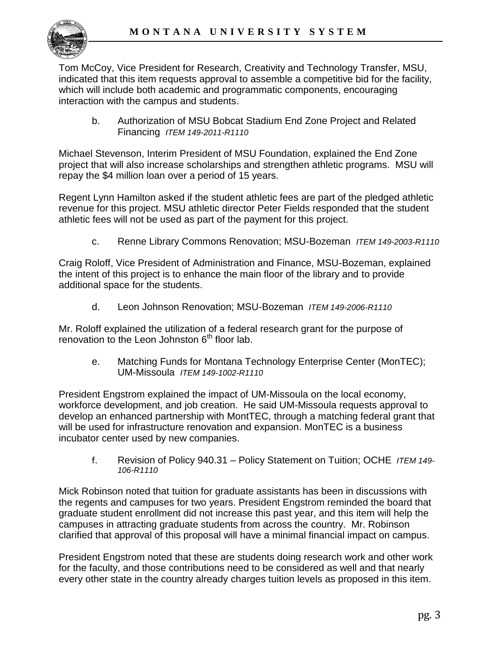

Tom McCoy, Vice President for Research, Creativity and Technology Transfer, MSU, indicated that this item requests approval to assemble a competitive bid for the facility, which will include both academic and programmatic components, encouraging interaction with the campus and students.

b. Authorization of MSU Bobcat Stadium End Zone Project and Related Financing *ITEM 149-2011-R1110*

Michael Stevenson, Interim President of MSU Foundation, explained the End Zone project that will also increase scholarships and strengthen athletic programs. MSU will repay the \$4 million loan over a period of 15 years.

Regent Lynn Hamilton asked if the student athletic fees are part of the pledged athletic revenue for this project. MSU athletic director Peter Fields responded that the student athletic fees will not be used as part of the payment for this project.

c. Renne Library Commons Renovation; MSU-Bozeman *ITEM 149-2003-R1110*

Craig Roloff, Vice President of Administration and Finance, MSU-Bozeman, explained the intent of this project is to enhance the main floor of the library and to provide additional space for the students.

d. Leon Johnson Renovation; MSU-Bozeman *ITEM 149-2006-R1110*

Mr. Roloff explained the utilization of a federal research grant for the purpose of renovation to the Leon Johnston  $6<sup>th</sup>$  floor lab.

e. Matching Funds for Montana Technology Enterprise Center (MonTEC); UM-Missoula *ITEM 149-1002-R1110* 

President Engstrom explained the impact of UM-Missoula on the local economy, workforce development, and job creation. He said UM-Missoula requests approval to develop an enhanced partnership with MontTEC, through a matching federal grant that will be used for infrastructure renovation and expansion. MonTEC is a business incubator center used by new companies.

f. Revision of Policy 940.31 – Policy Statement on Tuition; OCHE *ITEM 149- 106-R1110* 

Mick Robinson noted that tuition for graduate assistants has been in discussions with the regents and campuses for two years. President Engstrom reminded the board that graduate student enrollment did not increase this past year, and this item will help the campuses in attracting graduate students from across the country. Mr. Robinson clarified that approval of this proposal will have a minimal financial impact on campus.

President Engstrom noted that these are students doing research work and other work for the faculty, and those contributions need to be considered as well and that nearly every other state in the country already charges tuition levels as proposed in this item.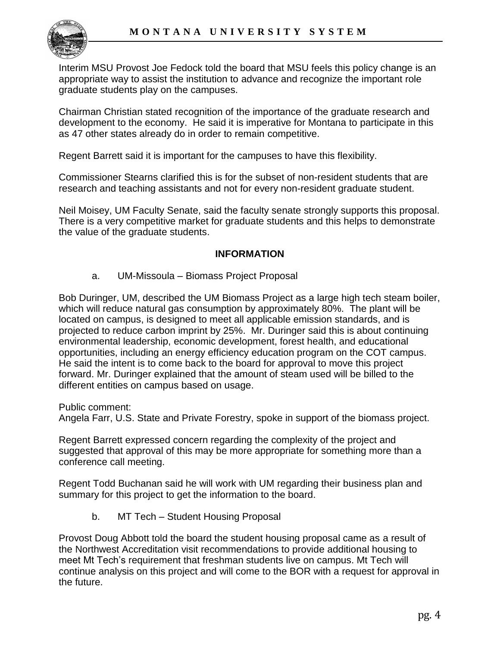

Interim MSU Provost Joe Fedock told the board that MSU feels this policy change is an appropriate way to assist the institution to advance and recognize the important role graduate students play on the campuses.

Chairman Christian stated recognition of the importance of the graduate research and development to the economy. He said it is imperative for Montana to participate in this as 47 other states already do in order to remain competitive.

Regent Barrett said it is important for the campuses to have this flexibility.

Commissioner Stearns clarified this is for the subset of non-resident students that are research and teaching assistants and not for every non-resident graduate student.

Neil Moisey, UM Faculty Senate, said the faculty senate strongly supports this proposal. There is a very competitive market for graduate students and this helps to demonstrate the value of the graduate students.

#### **INFORMATION**

a. UM-Missoula – Biomass Project Proposal

Bob Duringer, UM, described the UM Biomass Project as a large high tech steam boiler, which will reduce natural gas consumption by approximately 80%. The plant will be located on campus, is designed to meet all applicable emission standards, and is projected to reduce carbon imprint by 25%. Mr. Duringer said this is about continuing environmental leadership, economic development, forest health, and educational opportunities, including an energy efficiency education program on the COT campus. He said the intent is to come back to the board for approval to move this project forward. Mr. Duringer explained that the amount of steam used will be billed to the different entities on campus based on usage.

Public comment:

Angela Farr, U.S. State and Private Forestry, spoke in support of the biomass project.

Regent Barrett expressed concern regarding the complexity of the project and suggested that approval of this may be more appropriate for something more than a conference call meeting.

Regent Todd Buchanan said he will work with UM regarding their business plan and summary for this project to get the information to the board.

b. MT Tech – Student Housing Proposal

Provost Doug Abbott told the board the student housing proposal came as a result of the Northwest Accreditation visit recommendations to provide additional housing to meet Mt Tech's requirement that freshman students live on campus. Mt Tech will continue analysis on this project and will come to the BOR with a request for approval in the future.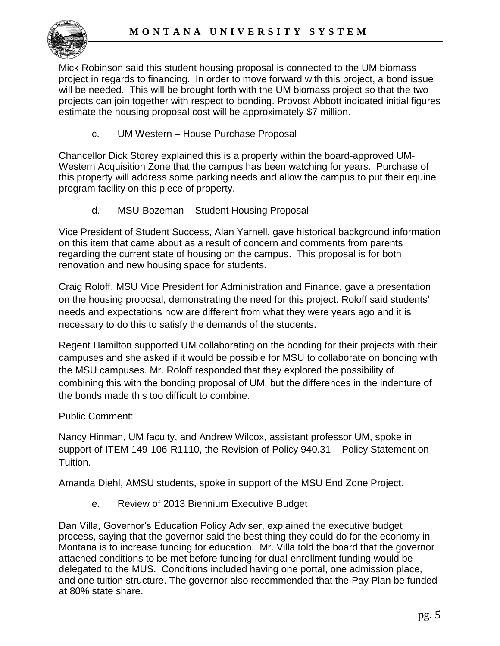

Mick Robinson said this student housing proposal is connected to the UM biomass project in regards to financing. In order to move forward with this project, a bond issue will be needed. This will be brought forth with the UM biomass project so that the two projects can join together with respect to bonding. Provost Abbott indicated initial figures estimate the housing proposal cost will be approximately \$7 million.

c. UM Western – House Purchase Proposal

Chancellor Dick Storey explained this is a property within the board-approved UM-Western Acquisition Zone that the campus has been watching for years. Purchase of this property will address some parking needs and allow the campus to put their equine program facility on this piece of property.

d. MSU-Bozeman – Student Housing Proposal

Vice President of Student Success, Alan Yarnell, gave historical background information on this item that came about as a result of concern and comments from parents regarding the current state of housing on the campus. This proposal is for both renovation and new housing space for students.

Craig Roloff, MSU Vice President for Administration and Finance, gave a presentation on the housing proposal, demonstrating the need for this project. Roloff said students' needs and expectations now are different from what they were years ago and it is necessary to do this to satisfy the demands of the students.

Regent Hamilton supported UM collaborating on the bonding for their projects with their campuses and she asked if it would be possible for MSU to collaborate on bonding with the MSU campuses. Mr. Roloff responded that they explored the possibility of combining this with the bonding proposal of UM, but the differences in the indenture of the bonds made this too difficult to combine.

Public Comment:

Nancy Hinman, UM faculty, and Andrew Wilcox, assistant professor UM, spoke in support of ITEM 149-106-R1110, the Revision of Policy 940.31 – Policy Statement on Tuition.

Amanda Diehl, AMSU students, spoke in support of the MSU End Zone Project.

e. Review of 2013 Biennium Executive Budget

Dan Villa, Governor's Education Policy Adviser, explained the executive budget process, saying that the governor said the best thing they could do for the economy in Montana is to increase funding for education. Mr. Villa told the board that the governor attached conditions to be met before funding for dual enrollment funding would be delegated to the MUS. Conditions included having one portal, one admission place, and one tuition structure. The governor also recommended that the Pay Plan be funded at 80% state share.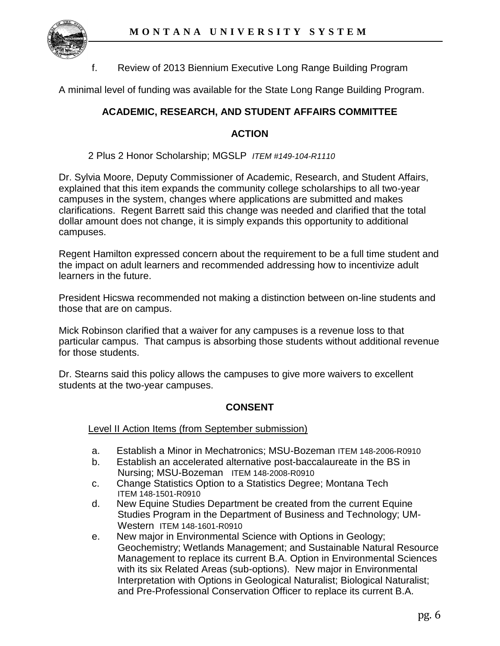

f. Review of 2013 Biennium Executive Long Range Building Program

A minimal level of funding was available for the State Long Range Building Program.

# **ACADEMIC, RESEARCH, AND STUDENT AFFAIRS COMMITTEE**

#### **ACTION**

2 Plus 2 Honor Scholarship; MGSLP *ITEM #149-104-R1110*

Dr. Sylvia Moore, Deputy Commissioner of Academic, Research, and Student Affairs, explained that this item expands the community college scholarships to all two-year campuses in the system, changes where applications are submitted and makes clarifications. Regent Barrett said this change was needed and clarified that the total dollar amount does not change, it is simply expands this opportunity to additional campuses.

Regent Hamilton expressed concern about the requirement to be a full time student and the impact on adult learners and recommended addressing how to incentivize adult learners in the future.

President Hicswa recommended not making a distinction between on-line students and those that are on campus.

Mick Robinson clarified that a waiver for any campuses is a revenue loss to that particular campus. That campus is absorbing those students without additional revenue for those students.

Dr. Stearns said this policy allows the campuses to give more waivers to excellent students at the two-year campuses.

## **CONSENT**

Level II Action Items (from September submission)

- a. Establish a Minor in Mechatronics; MSU-Bozeman ITEM 148-2006-R0910
- b. Establish an accelerated alternative post-baccalaureate in the BS in Nursing; MSU-Bozeman ITEM 148-2008-R0910
- c. Change Statistics Option to a Statistics Degree; Montana Tech ITEM 148-1501-R0910
- d. New Equine Studies Department be created from the current Equine Studies Program in the Department of Business and Technology; UM-Western ITEM 148-1601-R0910
- e. New major in Environmental Science with Options in Geology; Geochemistry; Wetlands Management; and Sustainable Natural Resource Management to replace its current B.A. Option in Environmental Sciences with its six Related Areas (sub-options). New major in Environmental Interpretation with Options in Geological Naturalist; Biological Naturalist; and Pre-Professional Conservation Officer to replace its current B.A.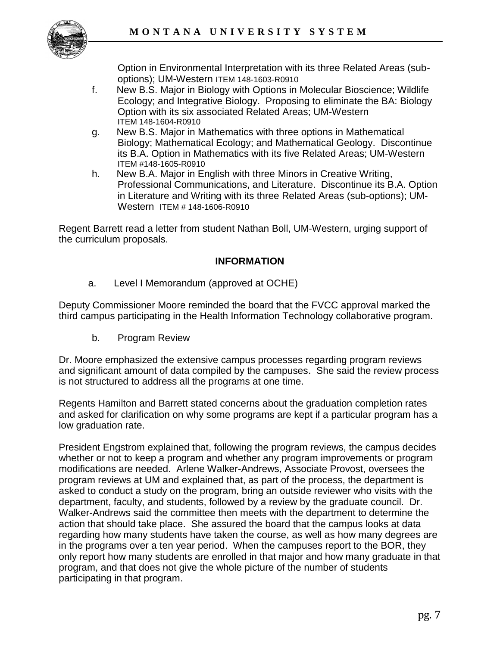

Option in Environmental Interpretation with its three Related Areas (suboptions); UM-Western ITEM 148-1603-R0910

- f. New B.S. Major in Biology with Options in Molecular Bioscience; Wildlife Ecology; and Integrative Biology. Proposing to eliminate the BA: Biology Option with its six associated Related Areas; UM-Western ITEM 148-1604-R0910
- g. New B.S. Major in Mathematics with three options in Mathematical Biology; Mathematical Ecology; and Mathematical Geology. Discontinue its B.A. Option in Mathematics with its five Related Areas; UM-Western ITEM #148-1605-R0910
- h. New B.A. Major in English with three Minors in Creative Writing, Professional Communications, and Literature. Discontinue its B.A. Option in Literature and Writing with its three Related Areas (sub-options); UM-Western ITEM # 148-1606-R0910

Regent Barrett read a letter from student Nathan Boll, UM-Western, urging support of the curriculum proposals.

## **INFORMATION**

a. Level I Memorandum (approved at OCHE)

Deputy Commissioner Moore reminded the board that the FVCC approval marked the third campus participating in the Health Information Technology collaborative program.

b. Program Review

Dr. Moore emphasized the extensive campus processes regarding program reviews and significant amount of data compiled by the campuses. She said the review process is not structured to address all the programs at one time.

Regents Hamilton and Barrett stated concerns about the graduation completion rates and asked for clarification on why some programs are kept if a particular program has a low graduation rate.

President Engstrom explained that, following the program reviews, the campus decides whether or not to keep a program and whether any program improvements or program modifications are needed. Arlene Walker-Andrews, Associate Provost, oversees the program reviews at UM and explained that, as part of the process, the department is asked to conduct a study on the program, bring an outside reviewer who visits with the department, faculty, and students, followed by a review by the graduate council. Dr. Walker-Andrews said the committee then meets with the department to determine the action that should take place. She assured the board that the campus looks at data regarding how many students have taken the course, as well as how many degrees are in the programs over a ten year period. When the campuses report to the BOR, they only report how many students are enrolled in that major and how many graduate in that program, and that does not give the whole picture of the number of students participating in that program.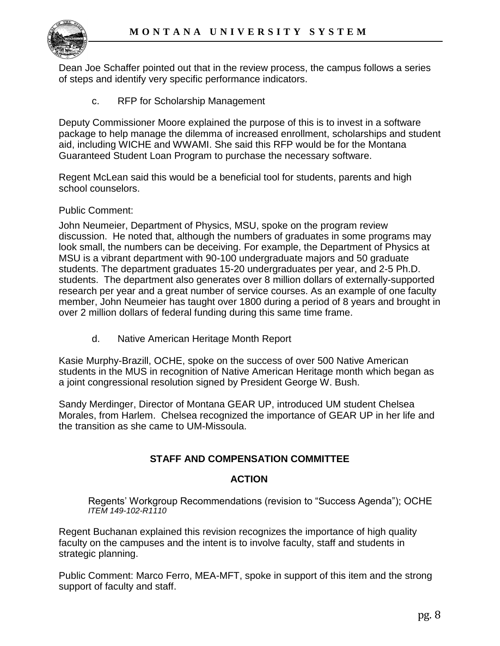

Dean Joe Schaffer pointed out that in the review process, the campus follows a series of steps and identify very specific performance indicators.

c. RFP for Scholarship Management

Deputy Commissioner Moore explained the purpose of this is to invest in a software package to help manage the dilemma of increased enrollment, scholarships and student aid, including WICHE and WWAMI. She said this RFP would be for the Montana Guaranteed Student Loan Program to purchase the necessary software.

Regent McLean said this would be a beneficial tool for students, parents and high school counselors.

Public Comment:

John Neumeier, Department of Physics, MSU, spoke on the program review discussion. He noted that, although the numbers of graduates in some programs may look small, the numbers can be deceiving. For example, the Department of Physics at MSU is a vibrant department with 90-100 undergraduate majors and 50 graduate students. The department graduates 15-20 undergraduates per year, and 2-5 Ph.D. students. The department also generates over 8 million dollars of externally-supported research per year and a great number of service courses. As an example of one faculty member, John Neumeier has taught over 1800 during a period of 8 years and brought in over 2 million dollars of federal funding during this same time frame.

d. Native American Heritage Month Report

Kasie Murphy-Brazill, OCHE, spoke on the success of over 500 Native American students in the MUS in recognition of Native American Heritage month which began as a joint congressional resolution signed by President George W. Bush.

Sandy Merdinger, Director of Montana GEAR UP, introduced UM student Chelsea Morales, from Harlem. Chelsea recognized the importance of GEAR UP in her life and the transition as she came to UM-Missoula.

## **STAFF AND COMPENSATION COMMITTEE**

#### **ACTION**

Regents' Workgroup Recommendations (revision to "Success Agenda"); OCHE *ITEM 149-102-R1110* 

Regent Buchanan explained this revision recognizes the importance of high quality faculty on the campuses and the intent is to involve faculty, staff and students in strategic planning.

Public Comment: Marco Ferro, MEA-MFT, spoke in support of this item and the strong support of faculty and staff.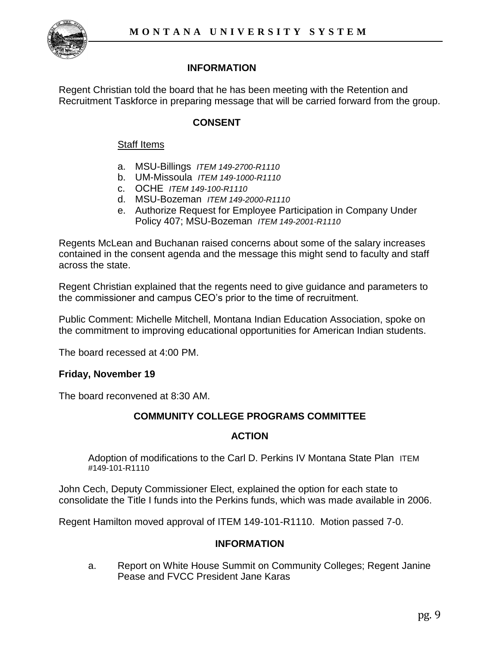

# **INFORMATION**

Regent Christian told the board that he has been meeting with the Retention and Recruitment Taskforce in preparing message that will be carried forward from the group.

# **CONSENT**

#### Staff Items

- a. MSU-Billings *ITEM 149-2700-R1110*
- b. UM-Missoula *ITEM 149-1000-R1110*
- c. OCHE *ITEM 149-100-R1110*
- d. MSU-Bozeman *ITEM 149-2000-R1110*
- e. Authorize Request for Employee Participation in Company Under Policy 407; MSU-Bozeman *ITEM 149-2001-R1110*

Regents McLean and Buchanan raised concerns about some of the salary increases contained in the consent agenda and the message this might send to faculty and staff across the state.

Regent Christian explained that the regents need to give guidance and parameters to the commissioner and campus CEO's prior to the time of recruitment.

Public Comment: Michelle Mitchell, Montana Indian Education Association, spoke on the commitment to improving educational opportunities for American Indian students.

The board recessed at 4:00 PM.

## **Friday, November 19**

The board reconvened at 8:30 AM.

## **COMMUNITY COLLEGE PROGRAMS COMMITTEE**

## **ACTION**

Adoption of modifications to the Carl D. Perkins IV Montana State Plan ITEM #149-101-R1110

John Cech, Deputy Commissioner Elect, explained the option for each state to consolidate the Title I funds into the Perkins funds, which was made available in 2006.

Regent Hamilton moved approval of ITEM 149-101-R1110. Motion passed 7-0.

#### **INFORMATION**

a. Report on White House Summit on Community Colleges; Regent Janine Pease and FVCC President Jane Karas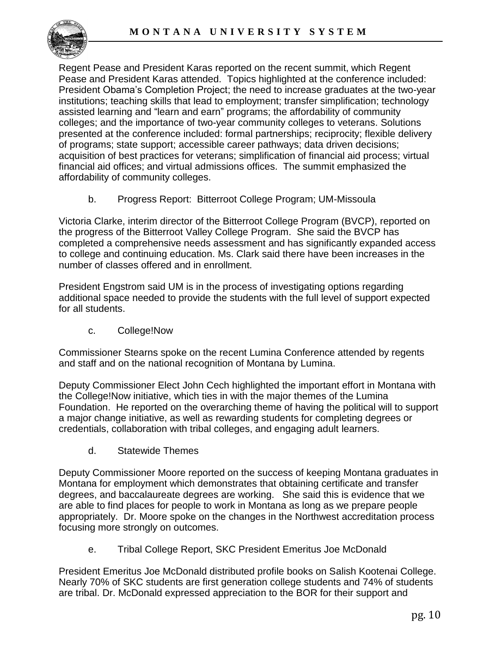

Regent Pease and President Karas reported on the recent summit, which Regent Pease and President Karas attended. Topics highlighted at the conference included: President Obama's Completion Project; the need to increase graduates at the two-year institutions; teaching skills that lead to employment; transfer simplification; technology assisted learning and "learn and earn" programs; the affordability of community colleges; and the importance of two-year community colleges to veterans. Solutions presented at the conference included: formal partnerships; reciprocity; flexible delivery of programs; state support; accessible career pathways; data driven decisions; acquisition of best practices for veterans; simplification of financial aid process; virtual financial aid offices; and virtual admissions offices. The summit emphasized the affordability of community colleges.

b. Progress Report: Bitterroot College Program; UM-Missoula

Victoria Clarke, interim director of the Bitterroot College Program (BVCP), reported on the progress of the Bitterroot Valley College Program. She said the BVCP has completed a comprehensive needs assessment and has significantly expanded access to college and continuing education. Ms. Clark said there have been increases in the number of classes offered and in enrollment.

President Engstrom said UM is in the process of investigating options regarding additional space needed to provide the students with the full level of support expected for all students.

c. College!Now

Commissioner Stearns spoke on the recent Lumina Conference attended by regents and staff and on the national recognition of Montana by Lumina.

Deputy Commissioner Elect John Cech highlighted the important effort in Montana with the College!Now initiative, which ties in with the major themes of the Lumina Foundation. He reported on the overarching theme of having the political will to support a major change initiative, as well as rewarding students for completing degrees or credentials, collaboration with tribal colleges, and engaging adult learners.

d. Statewide Themes

Deputy Commissioner Moore reported on the success of keeping Montana graduates in Montana for employment which demonstrates that obtaining certificate and transfer degrees, and baccalaureate degrees are working. She said this is evidence that we are able to find places for people to work in Montana as long as we prepare people appropriately. Dr. Moore spoke on the changes in the Northwest accreditation process focusing more strongly on outcomes.

e. Tribal College Report, SKC President Emeritus Joe McDonald

President Emeritus Joe McDonald distributed profile books on Salish Kootenai College. Nearly 70% of SKC students are first generation college students and 74% of students are tribal. Dr. McDonald expressed appreciation to the BOR for their support and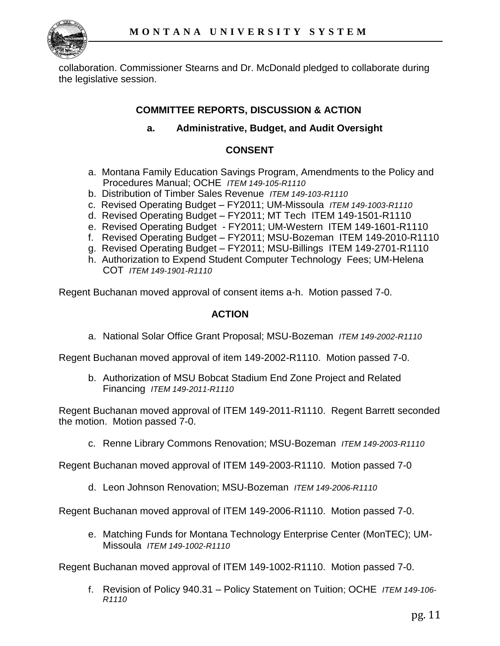

collaboration. Commissioner Stearns and Dr. McDonald pledged to collaborate during the legislative session.

# **COMMITTEE REPORTS, DISCUSSION & ACTION**

#### **a. Administrative, Budget, and Audit Oversight**

#### **CONSENT**

- a. Montana Family Education Savings Program, Amendments to the Policy and Procedures Manual; OCHE *ITEM 149-105-R1110*
- b. Distribution of Timber Sales Revenue *ITEM 149-103-R1110*
- c. Revised Operating Budget FY2011; UM-Missoula *ITEM 149-1003-R1110*
- d. Revised Operating Budget FY2011; MT Tech ITEM 149-1501-R1110
- e. Revised Operating Budget FY2011; UM-Western ITEM 149-1601-R1110
- f. Revised Operating Budget FY2011; MSU-Bozeman ITEM 149-2010-R1110
- g. Revised Operating Budget FY2011; MSU-Billings ITEM 149-2701-R1110
- h. Authorization to Expend Student Computer Technology Fees; UM-Helena COT *ITEM 149-1901-R1110*

Regent Buchanan moved approval of consent items a-h. Motion passed 7-0.

#### **ACTION**

a. National Solar Office Grant Proposal; MSU-Bozeman *ITEM 149-2002-R1110*

Regent Buchanan moved approval of item 149-2002-R1110. Motion passed 7-0.

b. Authorization of MSU Bobcat Stadium End Zone Project and Related Financing *ITEM 149-2011-R1110*

Regent Buchanan moved approval of ITEM 149-2011-R1110. Regent Barrett seconded the motion. Motion passed 7-0.

c. Renne Library Commons Renovation; MSU-Bozeman *ITEM 149-2003-R1110*

Regent Buchanan moved approval of ITEM 149-2003-R1110. Motion passed 7-0

d. Leon Johnson Renovation; MSU-Bozeman *ITEM 149-2006-R1110*

Regent Buchanan moved approval of ITEM 149-2006-R1110. Motion passed 7-0.

e. Matching Funds for Montana Technology Enterprise Center (MonTEC); UM-Missoula *ITEM 149-1002-R1110* 

Regent Buchanan moved approval of ITEM 149-1002-R1110. Motion passed 7-0.

f. Revision of Policy 940.31 – Policy Statement on Tuition; OCHE *ITEM 149-106- R1110*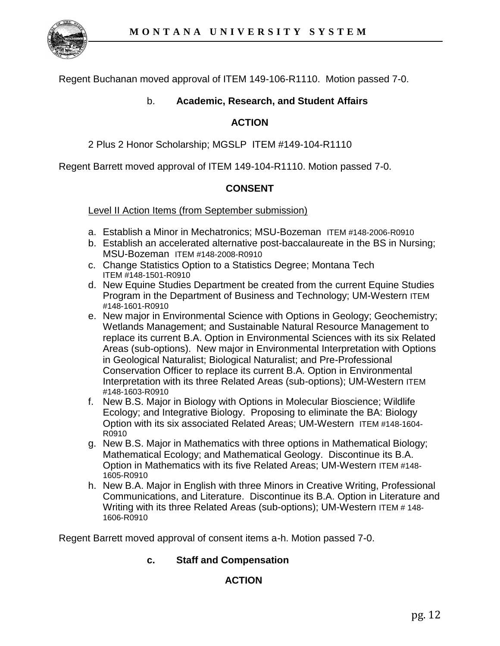

Regent Buchanan moved approval of ITEM 149-106-R1110. Motion passed 7-0.

# b. **Academic, Research, and Student Affairs**

#### **ACTION**

2 Plus 2 Honor Scholarship; MGSLP ITEM #149-104-R1110

Regent Barrett moved approval of ITEM 149-104-R1110. Motion passed 7-0.

#### **CONSENT**

Level II Action Items (from September submission)

- a. Establish a Minor in Mechatronics; MSU-Bozeman ITEM #148-2006-R0910
- b. Establish an accelerated alternative post-baccalaureate in the BS in Nursing; MSU-Bozeman ITEM #148-2008-R0910
- c. Change Statistics Option to a Statistics Degree; Montana Tech ITEM #148-1501-R0910
- d. New Equine Studies Department be created from the current Equine Studies Program in the Department of Business and Technology; UM-Western ITEM #148-1601-R0910
- e. New major in Environmental Science with Options in Geology; Geochemistry; Wetlands Management; and Sustainable Natural Resource Management to replace its current B.A. Option in Environmental Sciences with its six Related Areas (sub-options). New major in Environmental Interpretation with Options in Geological Naturalist; Biological Naturalist; and Pre-Professional Conservation Officer to replace its current B.A. Option in Environmental Interpretation with its three Related Areas (sub-options); UM-Western ITEM #148-1603-R0910
- f. New B.S. Major in Biology with Options in Molecular Bioscience; Wildlife Ecology; and Integrative Biology. Proposing to eliminate the BA: Biology Option with its six associated Related Areas; UM-Western ITEM #148-1604- R0910
- g. New B.S. Major in Mathematics with three options in Mathematical Biology; Mathematical Ecology; and Mathematical Geology. Discontinue its B.A. Option in Mathematics with its five Related Areas; UM-Western ITEM #148- 1605-R0910
- h. New B.A. Major in English with three Minors in Creative Writing, Professional Communications, and Literature. Discontinue its B.A. Option in Literature and Writing with its three Related Areas (sub-options); UM-Western ITEM # 148- 1606-R0910

Regent Barrett moved approval of consent items a-h. Motion passed 7-0.

## **c. Staff and Compensation**

## **ACTION**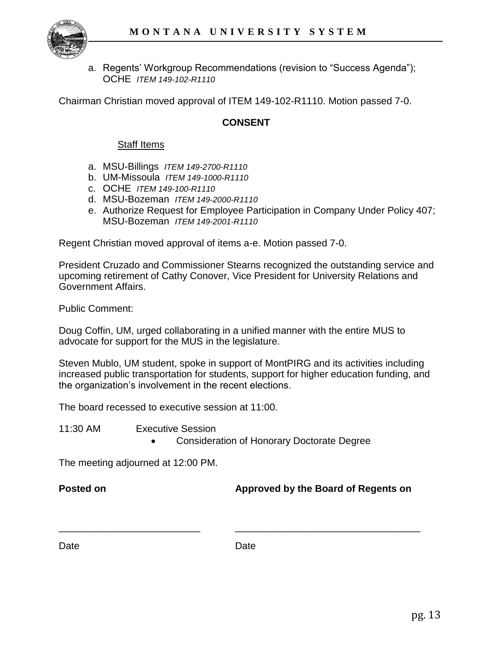

a. Regents' Workgroup Recommendations (revision to "Success Agenda"); OCHE *ITEM 149-102-R1110* 

Chairman Christian moved approval of ITEM 149-102-R1110. Motion passed 7-0.

#### **CONSENT**

#### Staff Items

- a. MSU-Billings *ITEM 149-2700-R1110*
- b. UM-Missoula *ITEM 149-1000-R1110*
- c. OCHE *ITEM 149-100-R1110*
- d. MSU-Bozeman *ITEM 149-2000-R1110*
- e. Authorize Request for Employee Participation in Company Under Policy 407; MSU-Bozeman *ITEM 149-2001-R1110*

Regent Christian moved approval of items a-e. Motion passed 7-0.

President Cruzado and Commissioner Stearns recognized the outstanding service and upcoming retirement of Cathy Conover, Vice President for University Relations and Government Affairs.

Public Comment:

Doug Coffin, UM, urged collaborating in a unified manner with the entire MUS to advocate for support for the MUS in the legislature.

Steven Mublo, UM student, spoke in support of MontPIRG and its activities including increased public transportation for students, support for higher education funding, and the organization's involvement in the recent elections.

The board recessed to executive session at 11:00.

11:30 AM Executive Session

Consideration of Honorary Doctorate Degree

The meeting adjourned at 12:00 PM.

#### **Posted on Approved by the Board of Regents on**

#### Date **Date** Date **Date**

\_\_\_\_\_\_\_\_\_\_\_\_\_\_\_\_\_\_\_\_\_\_\_\_\_\_ \_\_\_\_\_\_\_\_\_\_\_\_\_\_\_\_\_\_\_\_\_\_\_\_\_\_\_\_\_\_\_\_\_\_